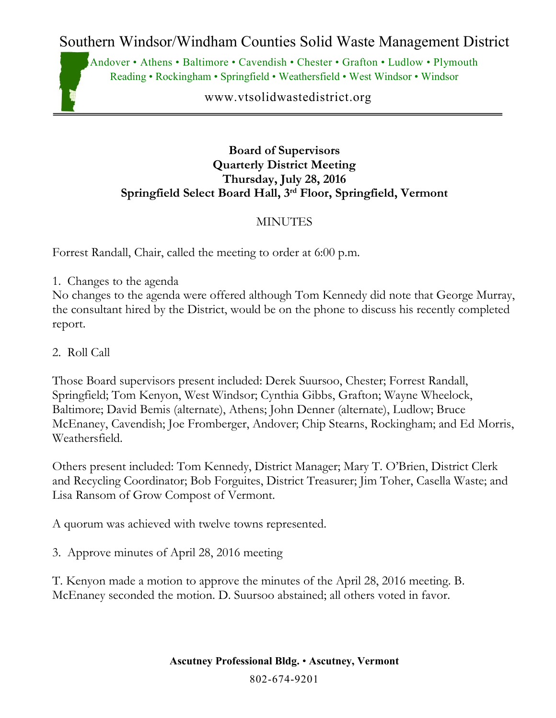Southern Windsor/Windham Counties Solid Waste Management District

Andover • Athens • Baltimore • Cavendish • Chester • Grafton • Ludlow • Plymouth Reading • Rockingham • Springfield • Weathersfield • West Windsor • Windsor

www.vtsolidwastedistrict.org

## **Board of Supervisors Quarterly District Meeting Thursday, July 28, 2016 Springfield Select Board Hall, 3rd Floor, Springfield, Vermont**

## **MINUTES**

Forrest Randall, Chair, called the meeting to order at 6:00 p.m.

1. Changes to the agenda

No changes to the agenda were offered although Tom Kennedy did note that George Murray, the consultant hired by the District, would be on the phone to discuss his recently completed report.

2. Roll Call

Those Board supervisors present included: Derek Suursoo, Chester; Forrest Randall, Springfield; Tom Kenyon, West Windsor; Cynthia Gibbs, Grafton; Wayne Wheelock, Baltimore; David Bemis (alternate), Athens; John Denner (alternate), Ludlow; Bruce McEnaney, Cavendish; Joe Fromberger, Andover; Chip Stearns, Rockingham; and Ed Morris, Weathersfield.

Others present included: Tom Kennedy, District Manager; Mary T. O'Brien, District Clerk and Recycling Coordinator; Bob Forguites, District Treasurer; Jim Toher, Casella Waste; and Lisa Ransom of Grow Compost of Vermont.

A quorum was achieved with twelve towns represented.

3. Approve minutes of April 28, 2016 meeting

T. Kenyon made a motion to approve the minutes of the April 28, 2016 meeting. B. McEnaney seconded the motion. D. Suursoo abstained; all others voted in favor.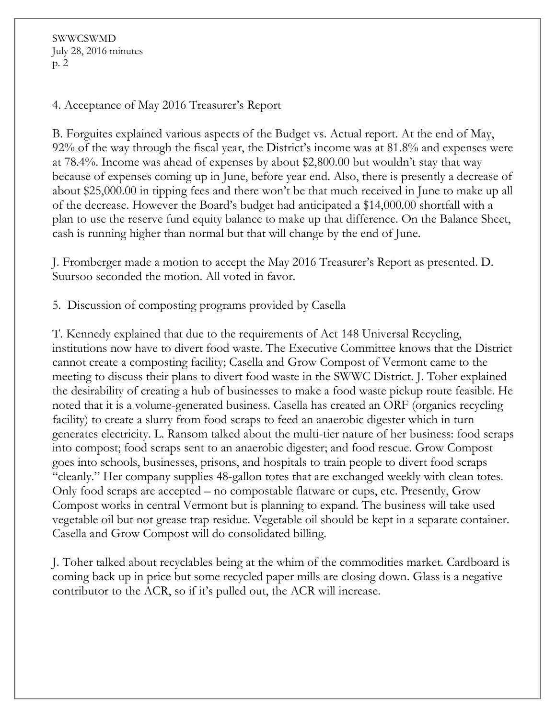SWWCSWMD July 28, 2016 minutes p. 2

4. Acceptance of May 2016 Treasurer's Report

B. Forguites explained various aspects of the Budget vs. Actual report. At the end of May, 92% of the way through the fiscal year, the District's income was at 81.8% and expenses were at 78.4%. Income was ahead of expenses by about \$2,800.00 but wouldn't stay that way because of expenses coming up in June, before year end. Also, there is presently a decrease of about \$25,000.00 in tipping fees and there won't be that much received in June to make up all of the decrease. However the Board's budget had anticipated a \$14,000.00 shortfall with a plan to use the reserve fund equity balance to make up that difference. On the Balance Sheet, cash is running higher than normal but that will change by the end of June.

J. Fromberger made a motion to accept the May 2016 Treasurer's Report as presented. D. Suursoo seconded the motion. All voted in favor.

5. Discussion of composting programs provided by Casella

T. Kennedy explained that due to the requirements of Act 148 Universal Recycling, institutions now have to divert food waste. The Executive Committee knows that the District cannot create a composting facility; Casella and Grow Compost of Vermont came to the meeting to discuss their plans to divert food waste in the SWWC District. J. Toher explained the desirability of creating a hub of businesses to make a food waste pickup route feasible. He noted that it is a volume-generated business. Casella has created an ORF (organics recycling facility) to create a slurry from food scraps to feed an anaerobic digester which in turn generates electricity. L. Ransom talked about the multi-tier nature of her business: food scraps into compost; food scraps sent to an anaerobic digester; and food rescue. Grow Compost goes into schools, businesses, prisons, and hospitals to train people to divert food scraps "cleanly." Her company supplies 48-gallon totes that are exchanged weekly with clean totes. Only food scraps are accepted – no compostable flatware or cups, etc. Presently, Grow Compost works in central Vermont but is planning to expand. The business will take used vegetable oil but not grease trap residue. Vegetable oil should be kept in a separate container. Casella and Grow Compost will do consolidated billing.

J. Toher talked about recyclables being at the whim of the commodities market. Cardboard is coming back up in price but some recycled paper mills are closing down. Glass is a negative contributor to the ACR, so if it's pulled out, the ACR will increase.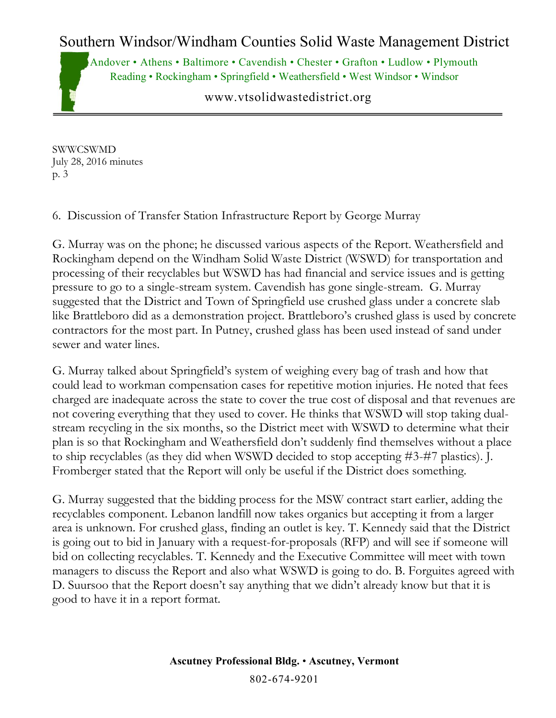## Southern Windsor/Windham Counties Solid Waste Management District

Andover • Athens • Baltimore • Cavendish • Chester • Grafton • Ludlow • Plymouth Reading • Rockingham • Springfield • Weathersfield • West Windsor • Windsor

www.vtsolidwastedistrict.org

SWWCSWMD July 28, 2016 minutes p. 3

6. Discussion of Transfer Station Infrastructure Report by George Murray

G. Murray was on the phone; he discussed various aspects of the Report. Weathersfield and Rockingham depend on the Windham Solid Waste District (WSWD) for transportation and processing of their recyclables but WSWD has had financial and service issues and is getting pressure to go to a single-stream system. Cavendish has gone single-stream. G. Murray suggested that the District and Town of Springfield use crushed glass under a concrete slab like Brattleboro did as a demonstration project. Brattleboro's crushed glass is used by concrete contractors for the most part. In Putney, crushed glass has been used instead of sand under sewer and water lines.

G. Murray talked about Springfield's system of weighing every bag of trash and how that could lead to workman compensation cases for repetitive motion injuries. He noted that fees charged are inadequate across the state to cover the true cost of disposal and that revenues are not covering everything that they used to cover. He thinks that WSWD will stop taking dualstream recycling in the six months, so the District meet with WSWD to determine what their plan is so that Rockingham and Weathersfield don't suddenly find themselves without a place to ship recyclables (as they did when WSWD decided to stop accepting #3-#7 plastics). J. Fromberger stated that the Report will only be useful if the District does something.

G. Murray suggested that the bidding process for the MSW contract start earlier, adding the recyclables component. Lebanon landfill now takes organics but accepting it from a larger area is unknown. For crushed glass, finding an outlet is key. T. Kennedy said that the District is going out to bid in January with a request-for-proposals (RFP) and will see if someone will bid on collecting recyclables. T. Kennedy and the Executive Committee will meet with town managers to discuss the Report and also what WSWD is going to do. B. Forguites agreed with D. Suursoo that the Report doesn't say anything that we didn't already know but that it is good to have it in a report format.